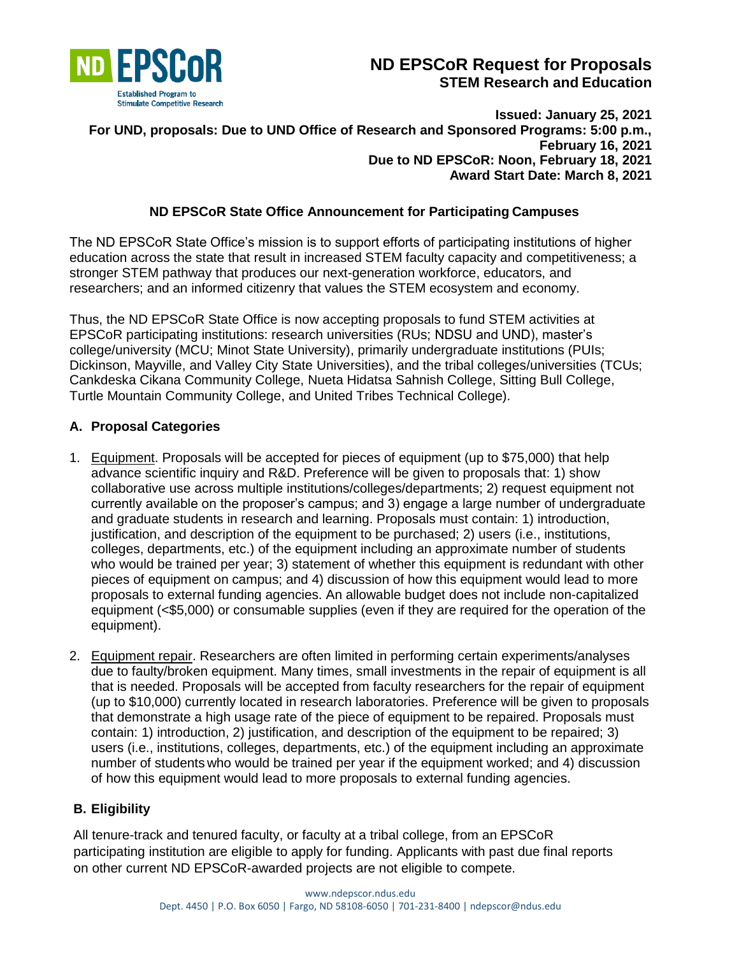

# **ND EPSCoR Request for Proposals STEM Research and Education**

### **Issued: January 25, 2021 For UND, proposals: Due to UND Office of Research and Sponsored Programs: 5:00 p.m., February 16, 2021 Due to ND EPSCoR: Noon, February 18, 2021 Award Start Date: March 8, 2021**

# **ND EPSCoR State Office Announcement for Participating Campuses**

The ND EPSCoR State Office's mission is to support efforts of participating institutions of higher education across the state that result in increased STEM faculty capacity and competitiveness; a stronger STEM pathway that produces our next-generation workforce, educators, and researchers; and an informed citizenry that values the STEM ecosystem and economy.

Thus, the ND EPSCoR State Office is now accepting proposals to fund STEM activities at EPSCoR participating institutions: research universities (RUs; NDSU and UND), master's college/university (MCU; Minot State University), primarily undergraduate institutions (PUIs; Dickinson, Mayville, and Valley City State Universities), and the tribal colleges/universities (TCUs; Cankdeska Cikana Community College, Nueta Hidatsa Sahnish College, Sitting Bull College, Turtle Mountain Community College, and United Tribes Technical College).

# **A. Proposal Categories**

- 1. Equipment. Proposals will be accepted for pieces of equipment (up to \$75,000) that help advance scientific inquiry and R&D. Preference will be given to proposals that: 1) show collaborative use across multiple institutions/colleges/departments; 2) request equipment not currently available on the proposer's campus; and 3) engage a large number of undergraduate and graduate students in research and learning. Proposals must contain: 1) introduction, justification, and description of the equipment to be purchased; 2) users (i.e., institutions, colleges, departments, etc.) of the equipment including an approximate number of students who would be trained per year; 3) statement of whether this equipment is redundant with other pieces of equipment on campus; and 4) discussion of how this equipment would lead to more proposals to external funding agencies. An allowable budget does not include non-capitalized equipment (<\$5,000) or consumable supplies (even if they are required for the operation of the equipment).
- 2. Equipment repair. Researchers are often limited in performing certain experiments/analyses due to faulty/broken equipment. Many times, small investments in the repair of equipment is all that is needed. Proposals will be accepted from faculty researchers for the repair of equipment (up to \$10,000) currently located in research laboratories. Preference will be given to proposals that demonstrate a high usage rate of the piece of equipment to be repaired. Proposals must contain: 1) introduction, 2) justification, and description of the equipment to be repaired; 3) users (i.e., institutions, colleges, departments, etc.) of the equipment including an approximate number of students who would be trained per year if the equipment worked; and 4) discussion of how this equipment would lead to more proposals to external funding agencies.

# **B. Eligibility**

All tenure-track and tenured faculty, or faculty at a tribal college, from an EPSCoR participating institution are eligible to apply for funding. Applicants with past due final reports on other current ND EPSCoR-awarded projects are not eligible to compete.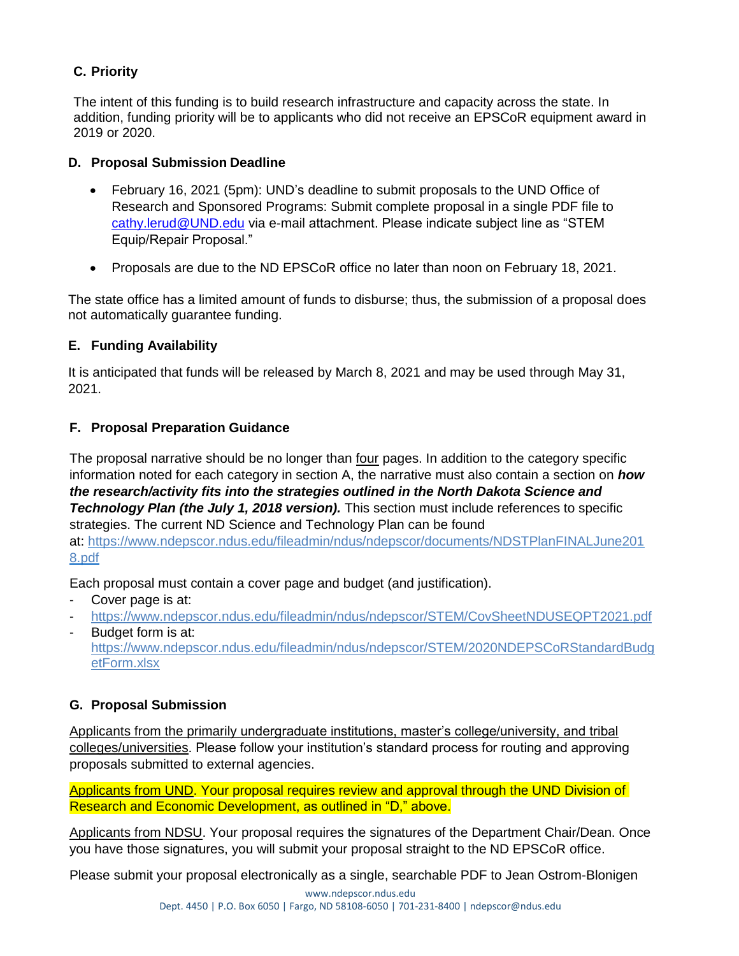# **C. Priority**

The intent of this funding is to build research infrastructure and capacity across the state. In addition, funding priority will be to applicants who did not receive an EPSCoR equipment award in 2019 or 2020.

### **D. Proposal Submission Deadline**

- February 16, 2021 (5pm): UND's deadline to submit proposals to the UND Office of Research and Sponsored Programs: Submit complete proposal in a single PDF file to [cathy.lerud@UND.edu](mailto:cathy.lerud@UND.edu) via e-mail attachment. Please indicate subject line as "STEM Equip/Repair Proposal."
- Proposals are due to the ND EPSCoR office no later than noon on February 18, 2021.

The state office has a limited amount of funds to disburse; thus, the submission of a proposal does not automatically guarantee funding.

# **E. Funding Availability**

It is anticipated that funds will be released by March 8, 2021 and may be used through May 31, 2021.

# **F. Proposal Preparation Guidance**

The proposal narrative should be no longer than four pages. In addition to the category specific information noted for each category in section A, the narrative must also contain a section on *how the research/activity fits into the strategies outlined in the North Dakota Science and*  **Technology Plan (the July 1, 2018 version).** This section must include references to specific strategies. The current ND Science and Technology Plan can be found at: [https://www.ndepscor.ndus.edu/fileadmin/ndus/ndepscor/documents/NDSTPlanFINALJune201](https://www.ndepscor.ndus.edu/fileadmin/ndus/ndepscor/documents/NDSTPlanFINALJune2018.pdf) [8.pdf](https://www.ndepscor.ndus.edu/fileadmin/ndus/ndepscor/documents/NDSTPlanFINALJune2018.pdf)

Each proposal must contain a cover page and budget (and justification).

- Cover page is at:
- <https://www.ndepscor.ndus.edu/fileadmin/ndus/ndepscor/STEM/CovSheetNDUSEQPT2021.pdf>
- Budget form is at: [https://www.ndepscor.ndus.edu/fileadmin/ndus/ndepscor/STEM/2020NDEPSCoRStandardBudg](https://www.ndepscor.ndus.edu/fileadmin/ndus/ndepscor/STEM/2020NDEPSCoRStandardBudgetForm.xlsx) [etForm.xlsx](https://www.ndepscor.ndus.edu/fileadmin/ndus/ndepscor/STEM/2020NDEPSCoRStandardBudgetForm.xlsx)

# **G. Proposal Submission**

Applicants from the primarily undergraduate institutions, master's college/university, and tribal colleges/universities. Please follow your institution's standard process for routing and approving proposals submitted to external agencies.

Applicants from UND. Your proposal requires review and approval through the UND Division of Research and Economic Development, as outlined in "D," above.

Applicants from NDSU. Your proposal requires the signatures of the Department Chair/Dean. Once you have those signatures, you will submit your proposal straight to the ND EPSCoR office.

Please submit your proposal electronically as a single, searchable PDF to Jean Ostrom-Blonigen